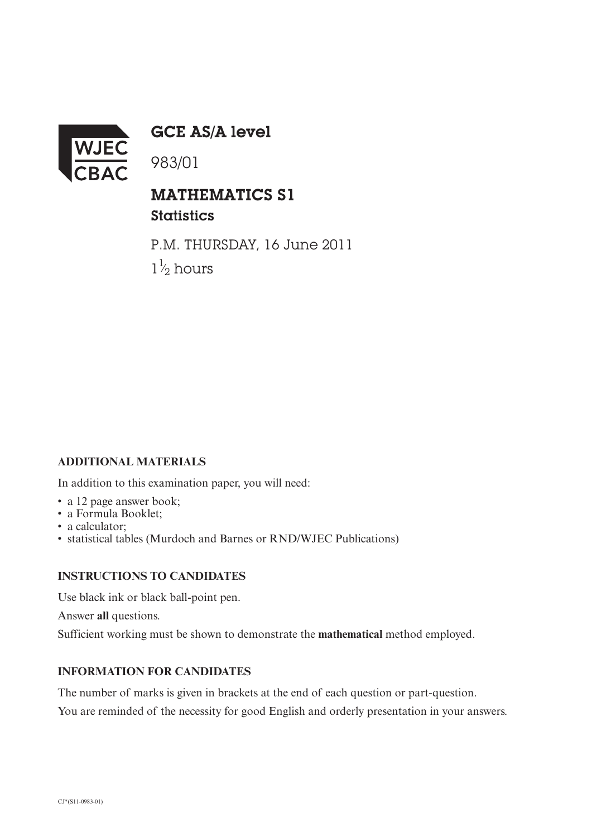

GCE AS/A level

983/01

## MATHEMATICS S1 **Statistics**

P.M. THURSDAY, 16 June 2011  $1\frac{1}{2}$  hours ⁄

## **ADDITIONAL MATERIALS**

In addition to this examination paper, you will need:

- a 12 page answer book;
- a Formula Booklet;
- a calculator:
- statistical tables (Murdoch and Barnes or RND/WJEC Publications)

## **INSTRUCTIONS TO CANDIDATES**

Use black ink or black ball-point pen. Answer **all** questions. Sufficient working must be shown to demonstrate the **mathematical** method employed.

## **INFORMATION FOR CANDIDATES**

The number of marks is given in brackets at the end of each question or part-question. You are reminded of the necessity for good English and orderly presentation in your answers.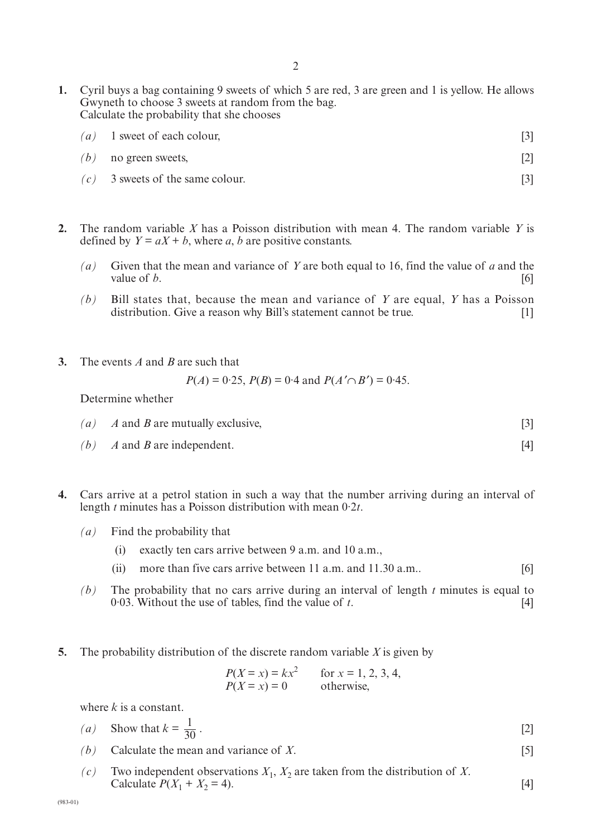- **1.** Cyril buys a bag containing 9 sweets of which 5 are red, 3 are green and 1 is yellow. He allows Gwyneth to choose 3 sweets at random from the bag. Calculate the probability that she chooses
	- $(a)$  1 sweet of each colour, [3]
	- *(b)* no green sweets, [2]
	- $(c)$  3 sweets of the same colour. [3]
- **2.** The random variable *X* has a Poisson distribution with mean 4. The random variable *Y* is defined by  $Y = aX + b$ , where *a*, *b* are positive constants.
	- *(a)* Given that the mean and variance of *Y* are both equal to 16, find the value of *a* and the value of *b*.  $[6]$
	- *(b)* Bill states that, because the mean and variance of *Y* are equal, *Y* has a Poisson distribution. Give a reason why Bill's statement cannot be true. [1]
- **3.** The events *A* and *B* are such that

$$
P(A) = 0.25
$$
,  $P(B) = 0.4$  and  $P(A' \cap B') = 0.45$ .

Determine whether

- $(a)$  *A* and *B* are mutually exclusive,  $[3]$
- *(b) A* and *B* are independent. [4]
- **4.** Cars arrive at a petrol station in such a way that the number arriving during an interval of length *t* minutes has a Poisson distribution with mean 0·2*t*.
	- *(a)* Find the probability that
		- (i) exactly ten cars arrive between 9 a.m. and 10 a.m.,
		- (ii) more than five cars arrive between 11 a.m. and 11.30 a.m.. [6]
	- *(b)* The probability that no cars arrive during an interval of length *t* minutes is equal to  $0.03$ . Without the use of tables, find the value of *t*.
- **5.** The probability distribution of the discrete random variable *X* is given by

$$
P(X = x) = kx^2
$$
 for  $x = 1, 2, 3, 4,$   
\n $P(X = x) = 0$  otherwise,

where *k* is a constant.

\n- (a) Show that 
$$
k = \frac{1}{30}
$$
.
\n- (b) Calculate the mean and variance of *X*.
\n

*(c)* Two independent observations  $X_1$ ,  $X_2$  are taken from the distribution of *X*. Calculate  $P(X_1 + X_2 = 4)$ . [4]